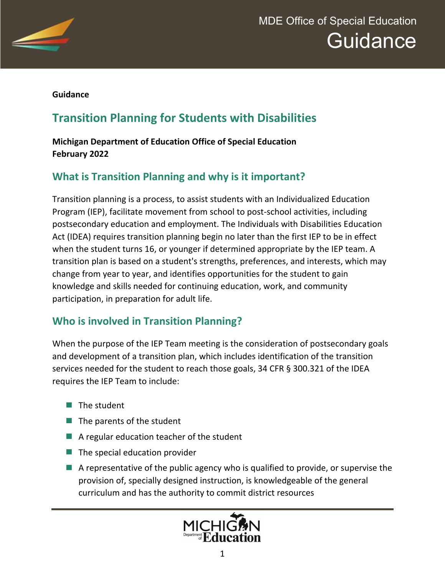

**Guidance**

# **Transition Planning for Students with Disabilities**

#### **Michigan Department of Education Office of Special Education February 2022**

### **What is Transition Planning and why is it important?**

Transition planning is a process, to assist students with an Individualized Education Program (IEP), facilitate movement from school to post-school activities, including postsecondary education and employment. The Individuals with Disabilities Education Act (IDEA) requires transition planning begin no later than the first IEP to be in effect when the student turns 16, or younger if determined appropriate by the IEP team. A transition plan is based on a student's strengths, preferences, and interests, which may change from year to year, and identifies opportunities for the student to gain knowledge and skills needed for continuing education, work, and community participation, in preparation for adult life.

### **Who is involved in Transition Planning?**

When the purpose of the IEP Team meeting is the consideration of postsecondary goals and development of a transition plan, which includes identification of the transition services needed for the student to reach those goals, 34 CFR § 300.321 of the IDEA requires the IEP Team to include:

- $\blacksquare$  The student
- $\blacksquare$  The parents of the student
- $\blacksquare$  A regular education teacher of the student
- $\blacksquare$  The special education provider
- $\blacksquare$  A representative of the public agency who is qualified to provide, or supervise the provision of, specially designed instruction, is knowledgeable of the general curriculum and has the authority to commit district resources

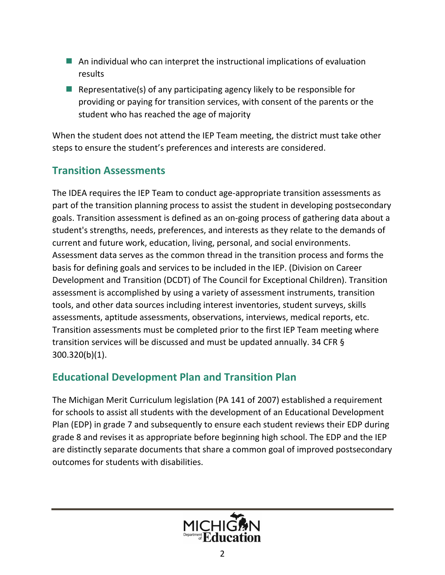- $\blacksquare$  An individual who can interpret the instructional implications of evaluation results
- E Representative(s) of any participating agency likely to be responsible for providing or paying for transition services, with consent of the parents or the student who has reached the age of majority

When the student does not attend the IEP Team meeting, the district must take other steps to ensure the student's preferences and interests are considered.

#### **Transition Assessments**

The IDEA requires the IEP Team to conduct age-appropriate transition assessments as part of the transition planning process to assist the student in developing postsecondary goals. Transition assessment is defined as an on-going process of gathering data about a student's strengths, needs, preferences, and interests as they relate to the demands of current and future work, education, living, personal, and social environments. Assessment data serves as the common thread in the transition process and forms the basis for defining goals and services to be included in the IEP. (Division on Career Development and Transition (DCDT) of The Council for Exceptional Children). Transition assessment is accomplished by using a variety of assessment instruments, transition tools, and other data sources including interest inventories, student surveys, skills assessments, aptitude assessments, observations, interviews, medical reports, etc. Transition assessments must be completed prior to the first IEP Team meeting where transition services will be discussed and must be updated annually. 34 CFR § 300.320(b)(1).

#### **Educational Development Plan and Transition Plan**

The Michigan Merit Curriculum legislation (PA 141 of 2007) established a requirement for schools to assist all students with the development of an Educational Development Plan (EDP) in grade 7 and subsequently to ensure each student reviews their EDP during grade 8 and revises it as appropriate before beginning high school. The EDP and the IEP are distinctly separate documents that share a common goal of improved postsecondary outcomes for students with disabilities.

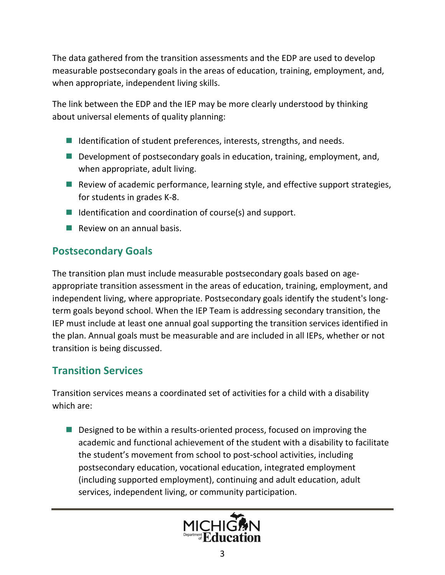The data gathered from the transition assessments and the EDP are used to develop measurable postsecondary goals in the areas of education, training, employment, and, when appropriate, independent living skills.

The link between the EDP and the IEP may be more clearly understood by thinking about universal elements of quality planning:

- Identification of student preferences, interests, strengths, and needs.
- Development of postsecondary goals in education, training, employment, and, when appropriate, adult living.
- Review of academic performance, learning style, and effective support strategies, for students in grades K-8.
- $\blacksquare$  Identification and coordination of course(s) and support.
- $\blacksquare$  Review on an annual basis.

### **Postsecondary Goals**

The transition plan must include measurable postsecondary goals based on ageappropriate transition assessment in the areas of education, training, employment, and independent living, where appropriate. Postsecondary goals identify the student's longterm goals beyond school. When the IEP Team is addressing secondary transition, the IEP must include at least one annual goal supporting the transition services identified in the plan. Annual goals must be measurable and are included in all IEPs, whether or not transition is being discussed.

### **Transition Services**

Transition services means a coordinated set of activities for a child with a disability which are:

■ Designed to be within a results-oriented process, focused on improving the academic and functional achievement of the student with a disability to facilitate the student's movement from school to post-school activities, including postsecondary education, vocational education, integrated employment (including supported employment), continuing and adult education, adult services, independent living, or community participation.

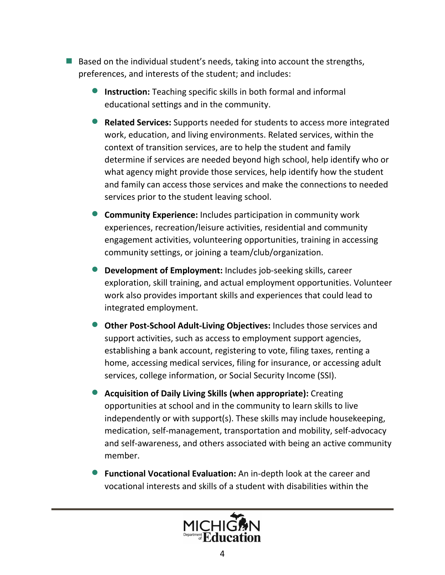- $\blacksquare$  Based on the individual student's needs, taking into account the strengths, preferences, and interests of the student; and includes:
	- **Instruction:** Teaching specific skills in both formal and informal educational settings and in the community.
	- · **Related Services:** Supports needed for students to access more integrated work, education, and living environments. Related services, within the context of transition services, are to help the student and family determine if services are needed beyond high school, help identify who or what agency might provide those services, help identify how the student and family can access those services and make the connections to needed services prior to the student leaving school.
	- · **Community Experience:** Includes participation in community work experiences, recreation/leisure activities, residential and community engagement activities, volunteering opportunities, training in accessing community settings, or joining a team/club/organization.
	- **Development of Employment:** Includes job-seeking skills, career exploration, skill training, and actual employment opportunities. Volunteer work also provides important skills and experiences that could lead to integrated employment.
	- **Other Post-School Adult-Living Objectives:** Includes those services and support activities, such as access to employment support agencies, establishing a bank account, registering to vote, filing taxes, renting a home, accessing medical services, filing for insurance, or accessing adult services, college information, or Social Security Income (SSI).
	- · **Acquisition of Daily Living Skills (when appropriate):** Creating opportunities at school and in the community to learn skills to live independently or with support(s). These skills may include housekeeping, medication, self-management, transportation and mobility, self-advocacy and self-awareness, and others associated with being an active community member.
	- · **Functional Vocational Evaluation:** An in-depth look at the career and vocational interests and skills of a student with disabilities within the

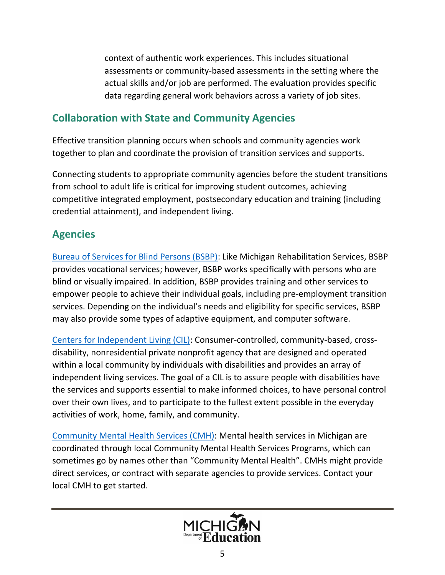context of authentic work experiences. This includes situational assessments or community-based assessments in the setting where the actual skills and/or job are performed. The evaluation provides specific data regarding general work behaviors across a variety of job sites.

#### **Collaboration with State and Community Agencies**

Effective transition planning occurs when schools and community agencies work together to plan and coordinate the provision of transition services and supports.

Connecting students to appropriate community agencies before the student transitions from school to adult life is critical for improving student outcomes, achieving competitive integrated employment, postsecondary education and training (including credential attainment), and independent living.

## **Agencies**

[Bureau of Services for Blind Persons \(BSBP\):](https://www.michigan.gov/leo/0,5863,7-336-94422_28313---,00.html) Like Michigan Rehabilitation Services, BSBP provides vocational services; however, BSBP works specifically with persons who are blind or visually impaired. In addition, BSBP provides training and other services to empower people to achieve their individual goals, including pre-employment transition services. Depending on the individual's needs and eligibility for specific services, BSBP may also provide some types of adaptive equipment, and computer software.

[Centers for Independent Living \(CIL\):](http://www.dnmichigan.org/cil-directory/) Consumer-controlled, community-based, crossdisability, nonresidential private nonprofit agency that are designed and operated within a local community by individuals with disabilities and provides an array of independent living services. The goal of a CIL is to assure people with disabilities have the services and supports essential to make informed choices, to have personal control over their own lives, and to participate to the fullest extent possible in the everyday activities of work, home, family, and community.

[Community Mental Health Services \(CMH\)](https://www.michigan.gov/mdhhs/0,5885,7-339-71550_2941_4868_4899---,00.html): Mental health services in Michigan are coordinated through local Community Mental Health Services Programs, which can sometimes go by names other than "Community Mental Health". CMHs might provide direct services, or contract with separate agencies to provide services. Contact your local CMH to get started.

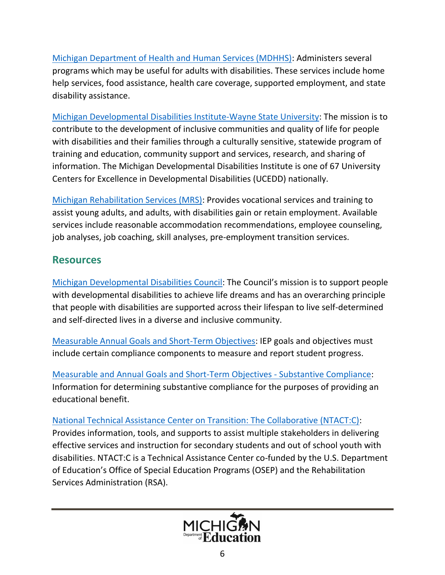[Michigan Department of Health and Human Services \(MDHHS\):](https://www.michigan.gov/mdhhs/0,5885,7-339-73970_5461---,00.html) Administers several programs which may be useful for adults with disabilities. These services include home help services, food assistance, health care coverage, supported employment, and state disability assistance.

Michigan Developmental [Disabilities Institute-Wayne State University](https://ddi.wayne.edu/links): The mission is to contribute to the development of inclusive communities and quality of life for people with disabilities and their families through a culturally sensitive, statewide program of training and education, community support and services, research, and sharing of information. The Michigan Developmental Disabilities Institute is one of 67 University Centers for Excellence in Developmental Disabilities (UCEDD) nationally.

[Michigan Rehabilitation Services \(MRS\)](https://www.michigan.gov/leo/0,5863,7-336-94422_97702_98392-522288--,00.html): Provides vocational services and training to assist young adults, and adults, with disabilities gain or retain employment. Available services include reasonable accommodation recommendations, employee counseling, job analyses, job coaching, skill analyses, pre-employment transition services.

### **Resources**

[Michigan Developmental Disabilities Council](https://www.michigan.gov/mdhhs/0,5885,7-339-71550_2941_4868_4897---,00.html): The Council's mission is to support people with developmental disabilities to achieve life dreams and has an overarching principle that people with disabilities are supported across their lifespan to live self-determined and self-directed lives in a diverse and inclusive community.

[Measurable Annual Goals and Short-Term Objectives](https://www.michigan.gov/documents/mde/Measurable_Goals_558267_7.pdf): IEP goals and objectives must include certain compliance components to measure and report student progress.

[Measurable and Annual Goals and Short-Term Objectives -](https://www.michigan.gov/documents/mde/MeasurableGoals_Substantive_650503_7.pdf) Substantive Compliance: Information for determining substantive compliance for the purposes of providing an educational benefit.

[National Technical Assistance Center on Transition: The Collaborative \(NTACT:C\)](https://transitionta.org/): Provides information, tools, and supports to assist multiple stakeholders in delivering effective services and instruction for secondary students and out of school youth with disabilities. NTACT:C is a Technical Assistance Center co-funded by the U.S. Department of Education's Office of Special Education Programs (OSEP) and the Rehabilitation Services Administration (RSA).